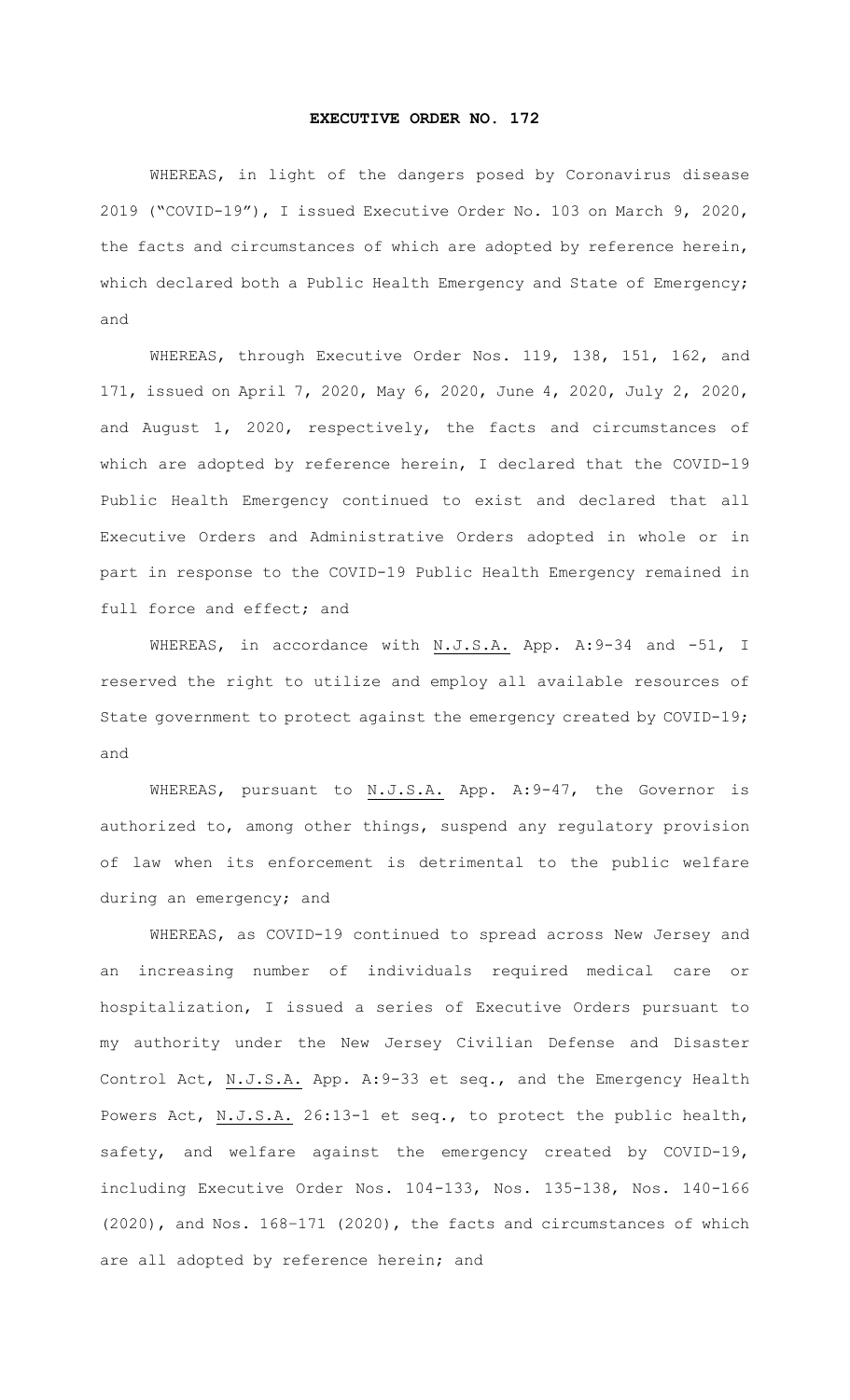## **EXECUTIVE ORDER NO. 172**

WHEREAS, in light of the dangers posed by Coronavirus disease 2019 ("COVID-19"), I issued Executive Order No. 103 on March 9, 2020, the facts and circumstances of which are adopted by reference herein, which declared both a Public Health Emergency and State of Emergency; and

WHEREAS, through Executive Order Nos. 119, 138, 151, 162, and 171, issued on April 7, 2020, May 6, 2020, June 4, 2020, July 2, 2020, and August 1, 2020, respectively, the facts and circumstances of which are adopted by reference herein, I declared that the COVID-19 Public Health Emergency continued to exist and declared that all Executive Orders and Administrative Orders adopted in whole or in part in response to the COVID-19 Public Health Emergency remained in full force and effect; and

WHEREAS, in accordance with N.J.S.A. App. A:9-34 and -51, I reserved the right to utilize and employ all available resources of State government to protect against the emergency created by COVID-19; and

WHEREAS, pursuant to N.J.S.A. App. A:9-47, the Governor is authorized to, among other things, suspend any regulatory provision of law when its enforcement is detrimental to the public welfare during an emergency; and

WHEREAS, as COVID-19 continued to spread across New Jersey and an increasing number of individuals required medical care or hospitalization, I issued a series of Executive Orders pursuant to my authority under the New Jersey Civilian Defense and Disaster Control Act, N.J.S.A. App. A:9-33 et seq., and the Emergency Health Powers Act, N.J.S.A. 26:13-1 et seq., to protect the public health, safety, and welfare against the emergency created by COVID-19, including Executive Order Nos. 104-133, Nos. 135-138, Nos. 140-166 (2020), and Nos. 168–171 (2020), the facts and circumstances of which are all adopted by reference herein; and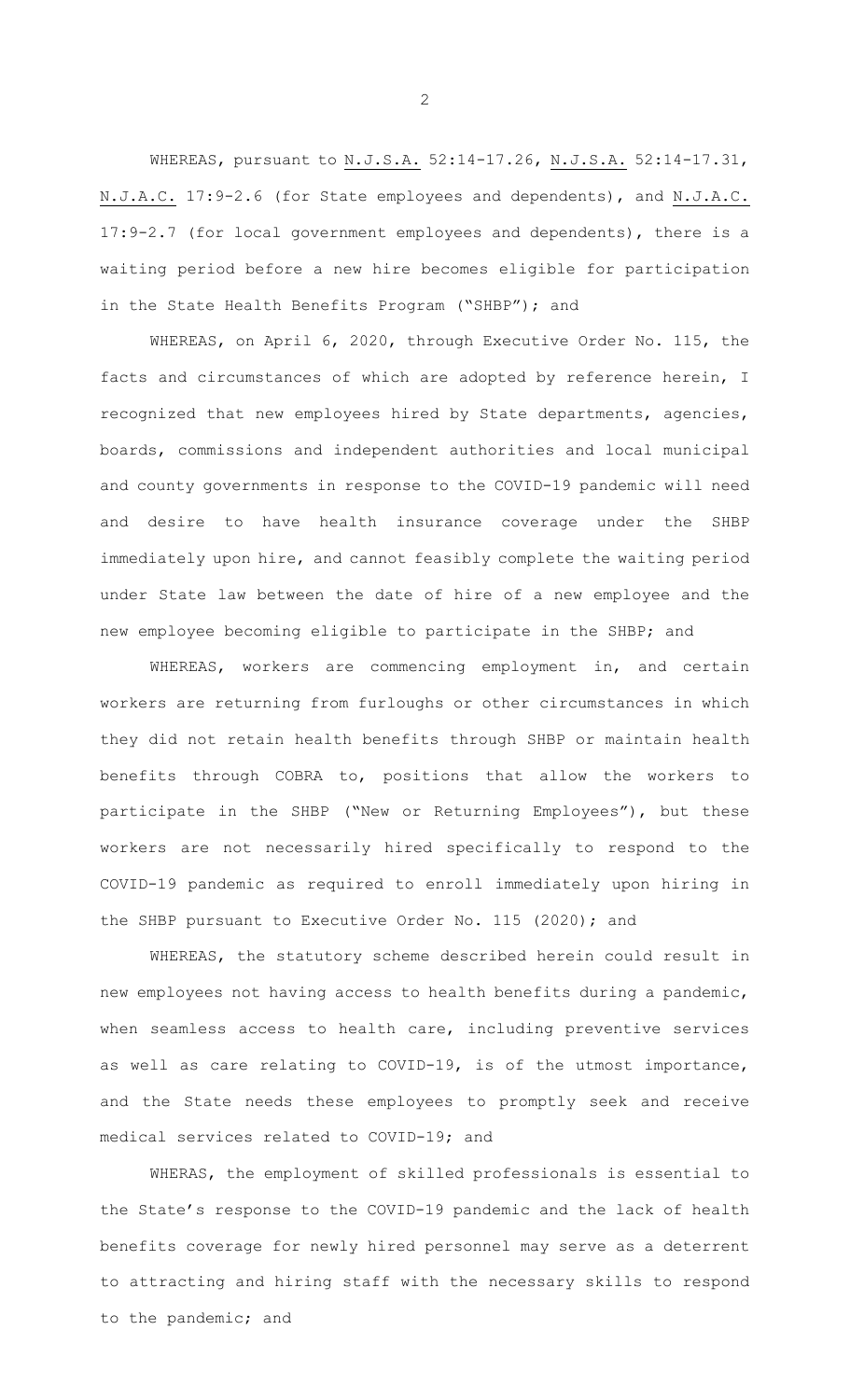WHEREAS, pursuant to N.J.S.A. 52:14-17.26, N.J.S.A. 52:14-17.31, N.J.A.C. 17:9-2.6 (for State employees and dependents), and N.J.A.C. 17:9-2.7 (for local government employees and dependents), there is a waiting period before a new hire becomes eligible for participation in the State Health Benefits Program ("SHBP"); and

WHEREAS, on April 6, 2020, through Executive Order No. 115, the facts and circumstances of which are adopted by reference herein, I recognized that new employees hired by State departments, agencies, boards, commissions and independent authorities and local municipal and county governments in response to the COVID-19 pandemic will need and desire to have health insurance coverage under the SHBP immediately upon hire, and cannot feasibly complete the waiting period under State law between the date of hire of a new employee and the new employee becoming eligible to participate in the SHBP; and

WHEREAS, workers are commencing employment in, and certain workers are returning from furloughs or other circumstances in which they did not retain health benefits through SHBP or maintain health benefits through COBRA to, positions that allow the workers to participate in the SHBP ("New or Returning Employees"), but these workers are not necessarily hired specifically to respond to the COVID-19 pandemic as required to enroll immediately upon hiring in the SHBP pursuant to Executive Order No. 115 (2020); and

WHEREAS, the statutory scheme described herein could result in new employees not having access to health benefits during a pandemic, when seamless access to health care, including preventive services as well as care relating to COVID-19, is of the utmost importance, and the State needs these employees to promptly seek and receive medical services related to COVID-19; and

WHERAS, the employment of skilled professionals is essential to the State's response to the COVID-19 pandemic and the lack of health benefits coverage for newly hired personnel may serve as a deterrent to attracting and hiring staff with the necessary skills to respond to the pandemic; and

2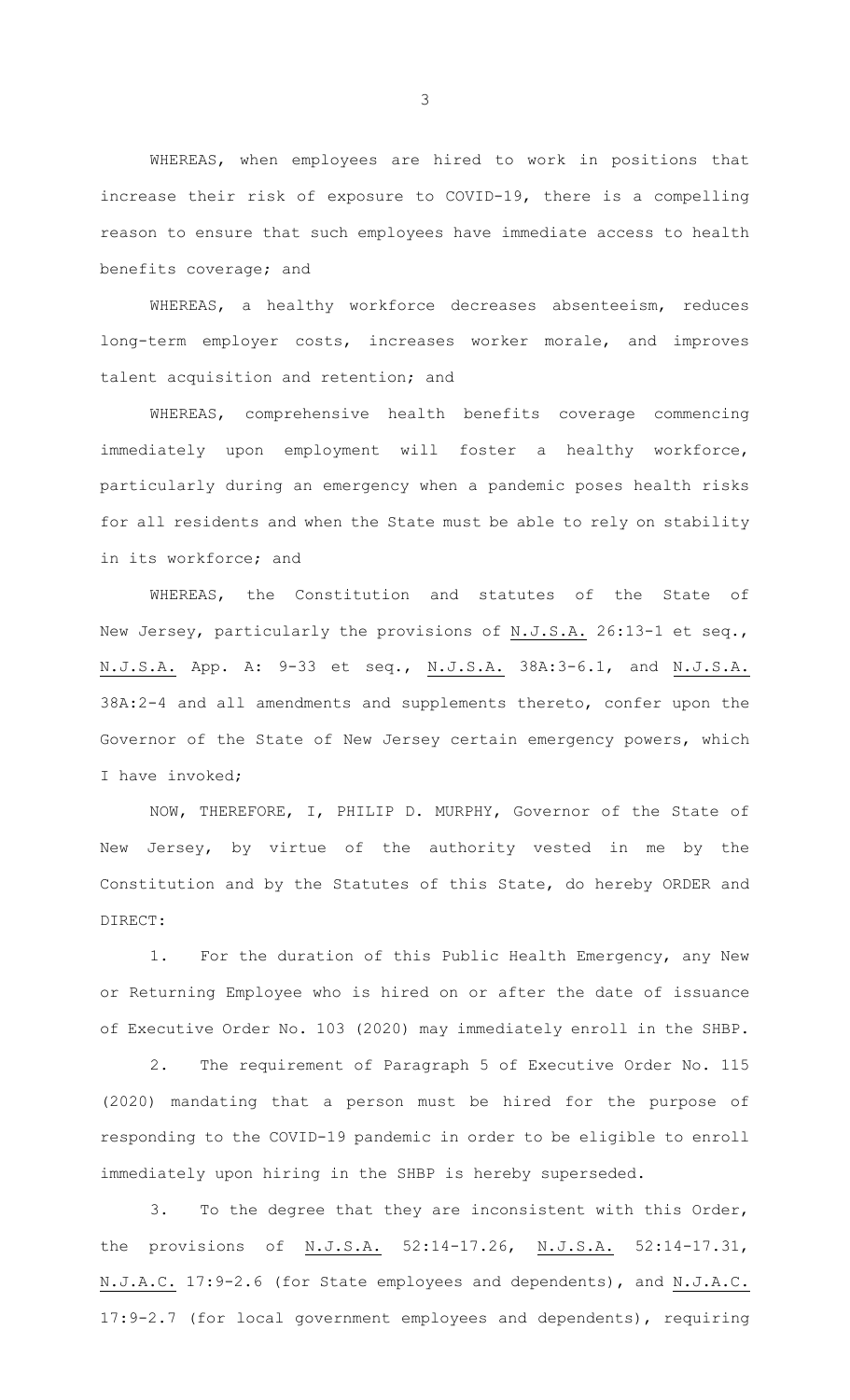WHEREAS, when employees are hired to work in positions that increase their risk of exposure to COVID-19, there is a compelling reason to ensure that such employees have immediate access to health benefits coverage; and

WHEREAS, a healthy workforce decreases absenteeism, reduces long-term employer costs, increases worker morale, and improves talent acquisition and retention; and

WHEREAS, comprehensive health benefits coverage commencing immediately upon employment will foster a healthy workforce, particularly during an emergency when a pandemic poses health risks for all residents and when the State must be able to rely on stability in its workforce; and

WHEREAS, the Constitution and statutes of the State of New Jersey, particularly the provisions of N.J.S.A. 26:13-1 et seq., N.J.S.A. App. A: 9-33 et seq., N.J.S.A. 38A:3-6.1, and N.J.S.A. 38A:2-4 and all amendments and supplements thereto, confer upon the Governor of the State of New Jersey certain emergency powers, which I have invoked;

 NOW, THEREFORE, I, PHILIP D. MURPHY, Governor of the State of New Jersey, by virtue of the authority vested in me by the Constitution and by the Statutes of this State, do hereby ORDER and DIRECT:

1. For the duration of this Public Health Emergency, any New or Returning Employee who is hired on or after the date of issuance of Executive Order No. 103 (2020) may immediately enroll in the SHBP.

2. The requirement of Paragraph 5 of Executive Order No. 115 (2020) mandating that a person must be hired for the purpose of responding to the COVID-19 pandemic in order to be eligible to enroll immediately upon hiring in the SHBP is hereby superseded.

3. To the degree that they are inconsistent with this Order, the provisions of N.J.S.A. 52:14-17.26, N.J.S.A. 52:14-17.31, N.J.A.C. 17:9-2.6 (for State employees and dependents), and N.J.A.C. 17:9-2.7 (for local government employees and dependents), requiring

3